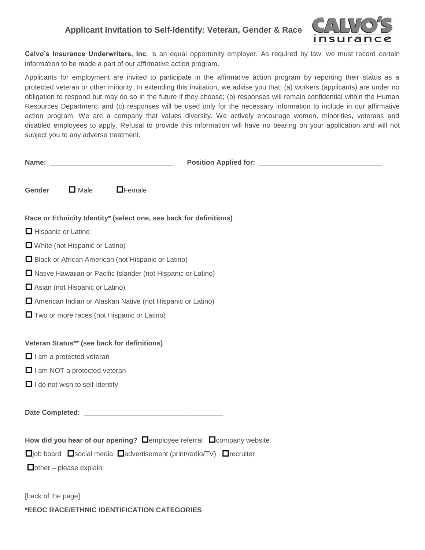## **Applicant Invitation to Self-Identify: Veteran, Gender & Race**



**Calvo's Insurance Underwriters, Inc**. is an equal opportunity employer. As required by law, we must record certain information to be made a part of our affirmative action program.

Applicants for employment are invited to participate in the affirmative action program by reporting their status as a protected veteran or other minority. In extending this invitation, we advise you that: (a) workers (applicants) are under no obligation to respond but may do so in the future if they choose; (b) responses will remain confidential within the Human Resources Department; and (c) responses will be used only for the necessary information to include in our affirmative action program. We are a company that values diversity. We actively encourage women, minorities, veterans and disabled employees to apply. Refusal to provide this information will have no bearing on your application and will not subject you to any adverse treatment.

|                                                                                                         |                                       | $\Box$ Female                                                      |
|---------------------------------------------------------------------------------------------------------|---------------------------------------|--------------------------------------------------------------------|
| Gender                                                                                                  | $\Box$ Male                           |                                                                    |
|                                                                                                         |                                       | Race or Ethnicity Identity* (select one, see back for definitions) |
| Hispanic or Latino                                                                                      |                                       |                                                                    |
|                                                                                                         | $\Box$ White (not Hispanic or Latino) |                                                                    |
|                                                                                                         |                                       | Black or African American (not Hispanic or Latino)                 |
| □ Native Hawaiian or Pacific Islander (not Hispanic or Latino)                                          |                                       |                                                                    |
| Asian (not Hispanic or Latino)                                                                          |                                       |                                                                    |
| American Indian or Alaskan Native (not Hispanic or Latino)                                              |                                       |                                                                    |
| $\Box$ Two or more races (not Hispanic or Latino)                                                       |                                       |                                                                    |
|                                                                                                         |                                       |                                                                    |
|                                                                                                         |                                       | Veteran Status** (see back for definitions)                        |
| $\Box$ I am a protected veteran                                                                         |                                       |                                                                    |
| $\Box$ I am NOT a protected veteran                                                                     |                                       |                                                                    |
| $\Box$ I do not wish to self-identify                                                                   |                                       |                                                                    |
|                                                                                                         |                                       |                                                                    |
|                                                                                                         |                                       |                                                                    |
|                                                                                                         |                                       |                                                                    |
| How did you hear of our opening? $\square$ employee referral $\square$ company website                  |                                       |                                                                    |
| $\square$ job board $\square$ social media $\square$ advertisement (print/radio/TV) $\square$ recruiter |                                       |                                                                    |
| $\Box$ other – please explain:                                                                          |                                       |                                                                    |
|                                                                                                         |                                       |                                                                    |

[back of the page]

**\*EEOC RACE/ETHNIC IDENTIFICATION CATEGORIES**